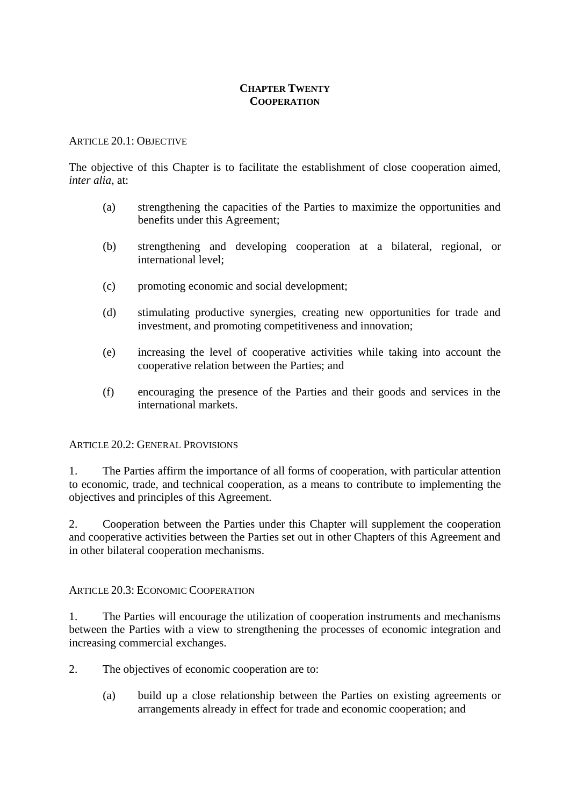# **CHAPTER TWENTY COOPERATION**

# ARTICLE 20.1: OBJECTIVE

The objective of this Chapter is to facilitate the establishment of close cooperation aimed, *inter alia*, at:

- (a) strengthening the capacities of the Parties to maximize the opportunities and benefits under this Agreement;
- (b) strengthening and developing cooperation at a bilateral, regional, or international level;
- (c) promoting economic and social development;
- (d) stimulating productive synergies, creating new opportunities for trade and investment, and promoting competitiveness and innovation;
- (e) increasing the level of cooperative activities while taking into account the cooperative relation between the Parties; and
- (f) encouraging the presence of the Parties and their goods and services in the international markets.

# ARTICLE 20.2: GENERAL PROVISIONS

1. The Parties affirm the importance of all forms of cooperation, with particular attention to economic, trade, and technical cooperation, as a means to contribute to implementing the objectives and principles of this Agreement.

2. Cooperation between the Parties under this Chapter will supplement the cooperation and cooperative activities between the Parties set out in other Chapters of this Agreement and in other bilateral cooperation mechanisms.

# ARTICLE 20.3: ECONOMIC COOPERATION

1. The Parties will encourage the utilization of cooperation instruments and mechanisms between the Parties with a view to strengthening the processes of economic integration and increasing commercial exchanges.

2. The objectives of economic cooperation are to:

(a) build up a close relationship between the Parties on existing agreements or arrangements already in effect for trade and economic cooperation; and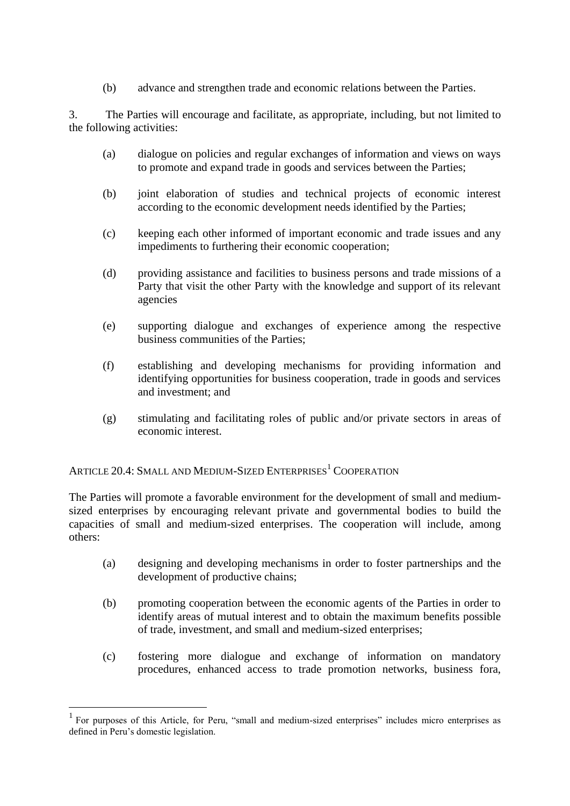(b) advance and strengthen trade and economic relations between the Parties.

3. The Parties will encourage and facilitate, as appropriate, including, but not limited to the following activities:

- (a) dialogue on policies and regular exchanges of information and views on ways to promote and expand trade in goods and services between the Parties;
- (b) joint elaboration of studies and technical projects of economic interest according to the economic development needs identified by the Parties;
- (c) keeping each other informed of important economic and trade issues and any impediments to furthering their economic cooperation;
- (d) providing assistance and facilities to business persons and trade missions of a Party that visit the other Party with the knowledge and support of its relevant agencies
- (e) supporting dialogue and exchanges of experience among the respective business communities of the Parties;
- (f) establishing and developing mechanisms for providing information and identifying opportunities for business cooperation, trade in goods and services and investment; and
- (g) stimulating and facilitating roles of public and/or private sectors in areas of economic interest.

ARTICLE 20.4: SMALL AND MEDIUM-SIZED ENTERPRISES<sup>1</sup> COOPERATION

1

The Parties will promote a favorable environment for the development of small and mediumsized enterprises by encouraging relevant private and governmental bodies to build the capacities of small and medium-sized enterprises. The cooperation will include, among others:

- (a) designing and developing mechanisms in order to foster partnerships and the development of productive chains;
- (b) promoting cooperation between the economic agents of the Parties in order to identify areas of mutual interest and to obtain the maximum benefits possible of trade, investment, and small and medium-sized enterprises;
- (c) fostering more dialogue and exchange of information on mandatory procedures, enhanced access to trade promotion networks, business fora,

<sup>1</sup> For purposes of this Article, for Peru, "small and medium-sized enterprises" includes micro enterprises as defined in Peru's domestic legislation.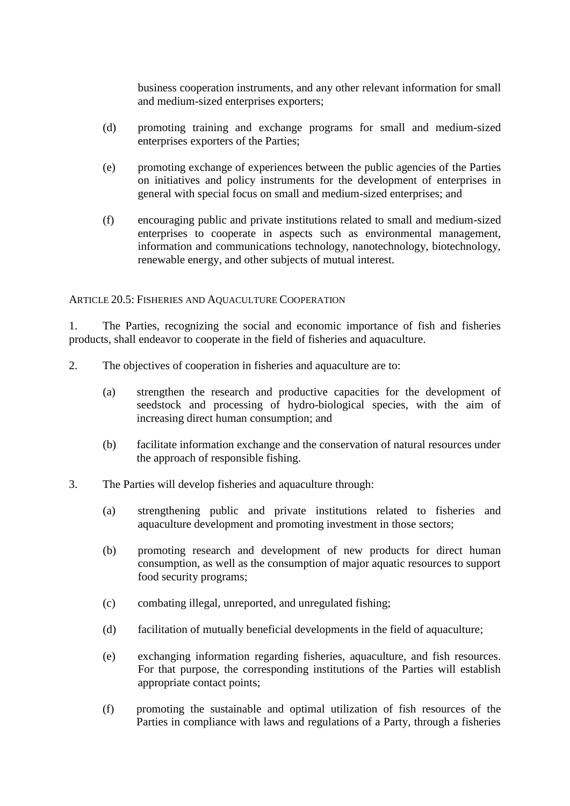business cooperation instruments, and any other relevant information for small and medium-sized enterprises exporters;

- (d) promoting training and exchange programs for small and medium-sized enterprises exporters of the Parties;
- (e) promoting exchange of experiences between the public agencies of the Parties on initiatives and policy instruments for the development of enterprises in general with special focus on small and medium-sized enterprises; and
- (f) encouraging public and private institutions related to small and medium-sized enterprises to cooperate in aspects such as environmental management, information and communications technology, nanotechnology, biotechnology, renewable energy, and other subjects of mutual interest.

# ARTICLE 20.5: FISHERIES AND AQUACULTURE COOPERATION

1. The Parties, recognizing the social and economic importance of fish and fisheries products, shall endeavor to cooperate in the field of fisheries and aquaculture.

- 2. The objectives of cooperation in fisheries and aquaculture are to:
	- (a) strengthen the research and productive capacities for the development of seedstock and processing of hydro-biological species, with the aim of increasing direct human consumption; and
	- (b) facilitate information exchange and the conservation of natural resources under the approach of responsible fishing.
- 3. The Parties will develop fisheries and aquaculture through:
	- (a) strengthening public and private institutions related to fisheries and aquaculture development and promoting investment in those sectors;
	- (b) promoting research and development of new products for direct human consumption, as well as the consumption of major aquatic resources to support food security programs;
	- (c) combating illegal, unreported, and unregulated fishing;
	- (d) facilitation of mutually beneficial developments in the field of aquaculture;
	- (e) exchanging information regarding fisheries, aquaculture, and fish resources. For that purpose, the corresponding institutions of the Parties will establish appropriate contact points;
	- (f) promoting the sustainable and optimal utilization of fish resources of the Parties in compliance with laws and regulations of a Party, through a fisheries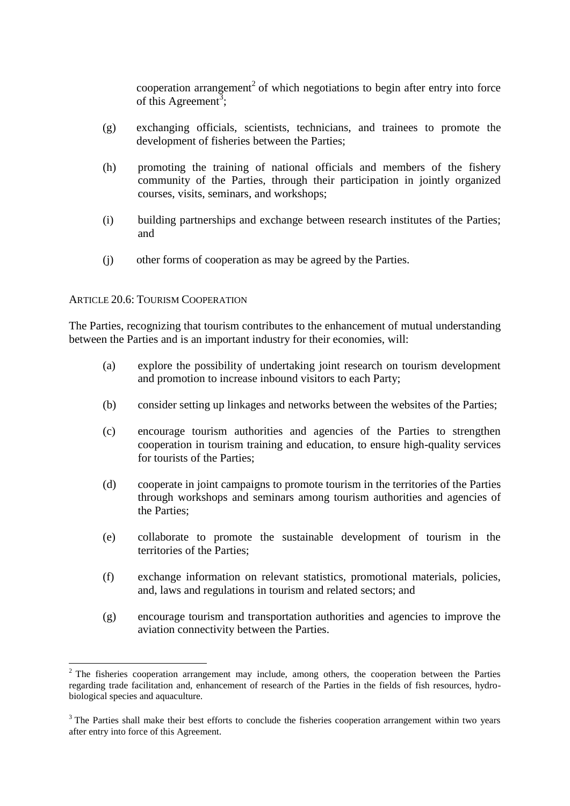cooperation arrangement<sup>2</sup> of which negotiations to begin after entry into force of this Agreement<sup>3</sup>;

- (g) exchanging officials, scientists, technicians, and trainees to promote the development of fisheries between the Parties;
- (h) promoting the training of national officials and members of the fishery community of the Parties, through their participation in jointly organized courses, visits, seminars, and workshops;
- (i) building partnerships and exchange between research institutes of the Parties; and
- (j) other forms of cooperation as may be agreed by the Parties.

# ARTICLE 20.6: TOURISM COOPERATION

The Parties, recognizing that tourism contributes to the enhancement of mutual understanding between the Parties and is an important industry for their economies, will:

- (a) explore the possibility of undertaking joint research on tourism development and promotion to increase inbound visitors to each Party;
- (b) consider setting up linkages and networks between the websites of the Parties;
- (c) encourage tourism authorities and agencies of the Parties to strengthen cooperation in tourism training and education, to ensure high-quality services for tourists of the Parties;
- (d) cooperate in joint campaigns to promote tourism in the territories of the Parties through workshops and seminars among tourism authorities and agencies of the Parties;
- (e) collaborate to promote the sustainable development of tourism in the territories of the Parties;
- (f) exchange information on relevant statistics, promotional materials, policies, and, laws and regulations in tourism and related sectors; and
- (g) encourage tourism and transportation authorities and agencies to improve the aviation connectivity between the Parties.

<sup>1</sup> <sup>2</sup> The fisheries cooperation arrangement may include, among others, the cooperation between the Parties regarding trade facilitation and, enhancement of research of the Parties in the fields of fish resources, hydrobiological species and aquaculture.

<sup>&</sup>lt;sup>3</sup> The Parties shall make their best efforts to conclude the fisheries cooperation arrangement within two years after entry into force of this Agreement.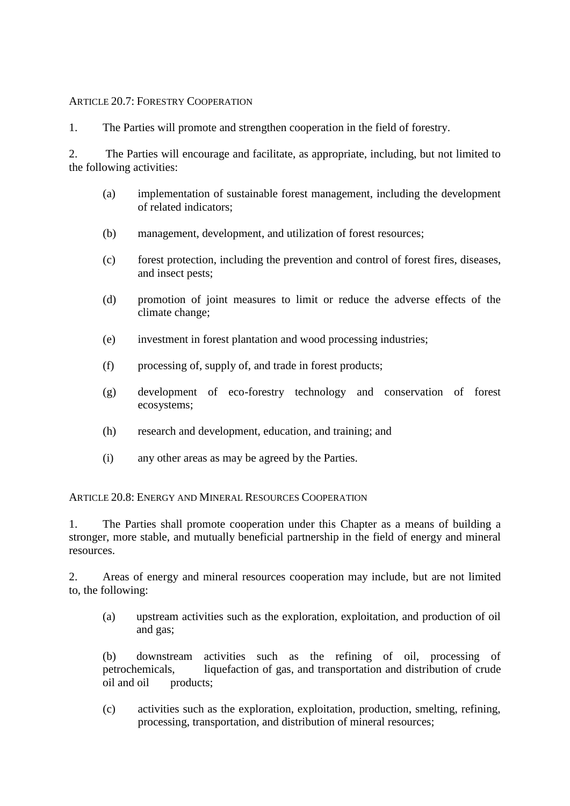# ARTICLE 20.7: FORESTRY COOPERATION

1. The Parties will promote and strengthen cooperation in the field of forestry.

2. The Parties will encourage and facilitate, as appropriate, including, but not limited to the following activities:

- (a) implementation of sustainable forest management, including the development of related indicators;
- (b) management, development, and utilization of forest resources;
- (c) forest protection, including the prevention and control of forest fires, diseases, and insect pests;
- (d) promotion of joint measures to limit or reduce the adverse effects of the climate change;
- (e) investment in forest plantation and wood processing industries;
- (f) processing of, supply of, and trade in forest products;
- (g) development of eco-forestry technology and conservation of forest ecosystems;
- (h) research and development, education, and training; and
- (i) any other areas as may be agreed by the Parties.

ARTICLE 20.8: ENERGY AND MINERAL RESOURCES COOPERATION

1. The Parties shall promote cooperation under this Chapter as a means of building a stronger, more stable, and mutually beneficial partnership in the field of energy and mineral resources.

2. Areas of energy and mineral resources cooperation may include, but are not limited to, the following:

(a) upstream activities such as the exploration, exploitation, and production of oil and gas;

(b) downstream activities such as the refining of oil, processing of petrochemicals, liquefaction of gas, and transportation and distribution of crude oil and oil products;

(c) activities such as the exploration, exploitation, production, smelting, refining, processing, transportation, and distribution of mineral resources;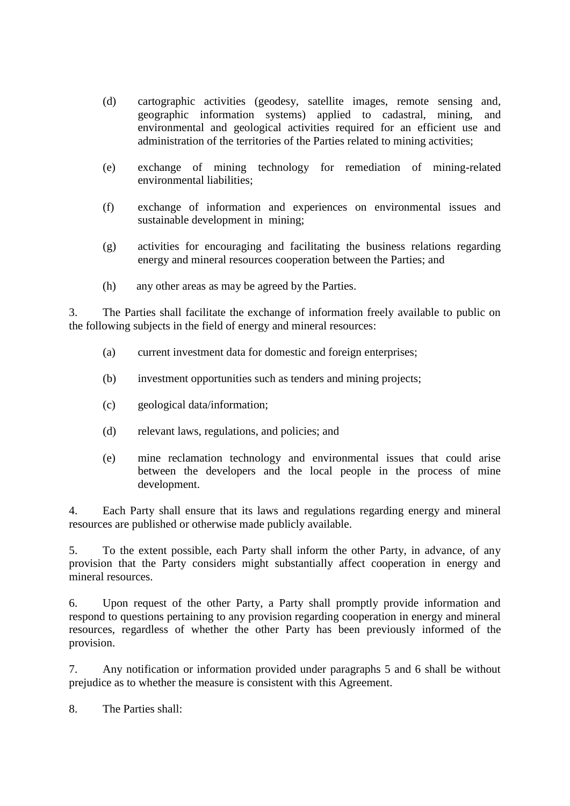- (d) cartographic activities (geodesy, satellite images, remote sensing and, geographic information systems) applied to cadastral, mining, and environmental and geological activities required for an efficient use and administration of the territories of the Parties related to mining activities;
- (e) exchange of mining technology for remediation of mining-related environmental liabilities;
- (f) exchange of information and experiences on environmental issues and sustainable development in mining;
- (g) activities for encouraging and facilitating the business relations regarding energy and mineral resources cooperation between the Parties; and
- (h) any other areas as may be agreed by the Parties.

3. The Parties shall facilitate the exchange of information freely available to public on the following subjects in the field of energy and mineral resources:

- (a) current investment data for domestic and foreign enterprises;
- (b) investment opportunities such as tenders and mining projects;
- (c) geological data/information;
- (d) relevant laws, regulations, and policies; and
- (e) mine reclamation technology and environmental issues that could arise between the developers and the local people in the process of mine development.

4. Each Party shall ensure that its laws and regulations regarding energy and mineral resources are published or otherwise made publicly available.

5. To the extent possible, each Party shall inform the other Party, in advance, of any provision that the Party considers might substantially affect cooperation in energy and mineral resources.

6. Upon request of the other Party, a Party shall promptly provide information and respond to questions pertaining to any provision regarding cooperation in energy and mineral resources, regardless of whether the other Party has been previously informed of the provision.

7. Any notification or information provided under paragraphs 5 and 6 shall be without prejudice as to whether the measure is consistent with this Agreement.

8. The Parties shall: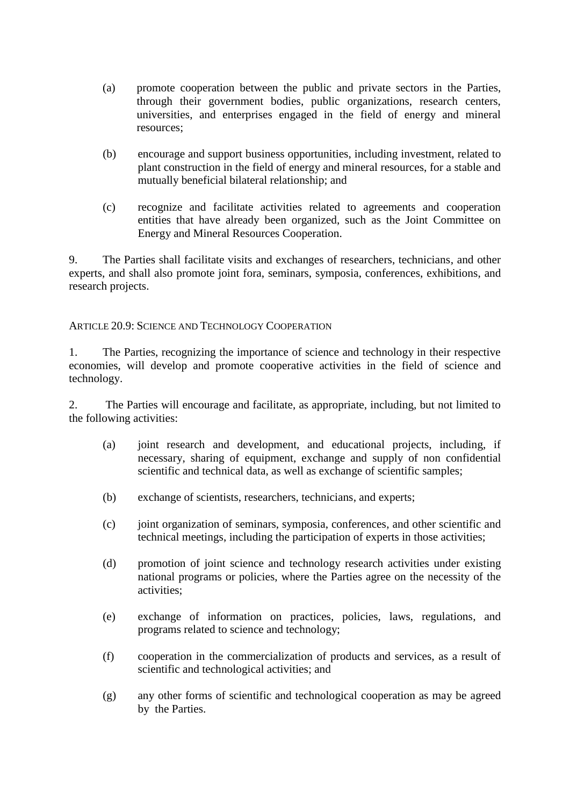- (a) promote cooperation between the public and private sectors in the Parties, through their government bodies, public organizations, research centers, universities, and enterprises engaged in the field of energy and mineral resources;
- (b) encourage and support business opportunities, including investment, related to plant construction in the field of energy and mineral resources, for a stable and mutually beneficial bilateral relationship; and
- (c) recognize and facilitate activities related to agreements and cooperation entities that have already been organized, such as the Joint Committee on Energy and Mineral Resources Cooperation.

9. The Parties shall facilitate visits and exchanges of researchers, technicians, and other experts, and shall also promote joint fora, seminars, symposia, conferences, exhibitions, and research projects.

# ARTICLE 20.9: SCIENCE AND TECHNOLOGY COOPERATION

1. The Parties, recognizing the importance of science and technology in their respective economies, will develop and promote cooperative activities in the field of science and technology.

2. The Parties will encourage and facilitate, as appropriate, including, but not limited to the following activities:

- (a) joint research and development, and educational projects, including, if necessary, sharing of equipment, exchange and supply of non confidential scientific and technical data, as well as exchange of scientific samples;
- (b) exchange of scientists, researchers, technicians, and experts;
- (c) joint organization of seminars, symposia, conferences, and other scientific and technical meetings, including the participation of experts in those activities;
- (d) promotion of joint science and technology research activities under existing national programs or policies, where the Parties agree on the necessity of the activities;
- (e) exchange of information on practices, policies, laws, regulations, and programs related to science and technology;
- (f) cooperation in the commercialization of products and services, as a result of scientific and technological activities; and
- (g) any other forms of scientific and technological cooperation as may be agreed by the Parties.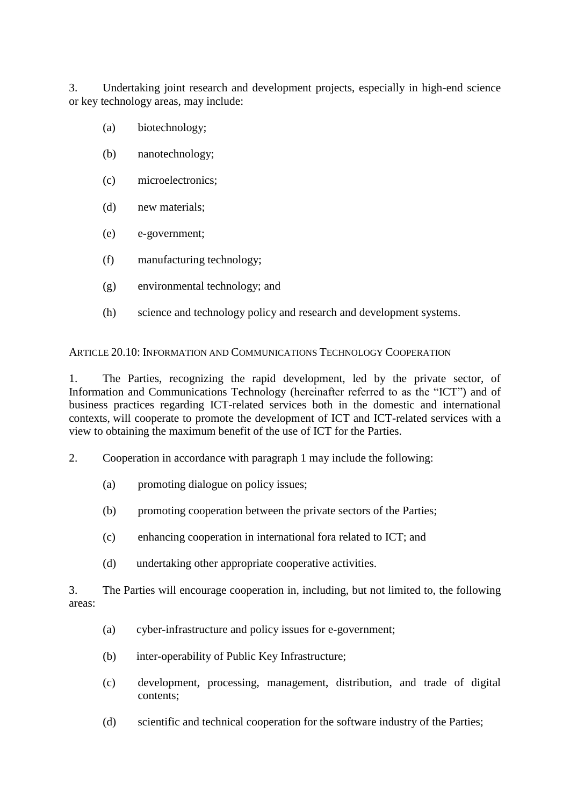3. Undertaking joint research and development projects, especially in high-end science or key technology areas, may include:

- (a) biotechnology;
- (b) nanotechnology;
- (c) microelectronics;
- (d) new materials;
- (e) e-government;
- (f) manufacturing technology;
- (g) environmental technology; and
- (h) science and technology policy and research and development systems.

ARTICLE 20.10: INFORMATION AND COMMUNICATIONS TECHNOLOGY COOPERATION

1. The Parties, recognizing the rapid development, led by the private sector, of Information and Communications Technology (hereinafter referred to as the "ICT") and of business practices regarding ICT-related services both in the domestic and international contexts, will cooperate to promote the development of ICT and ICT-related services with a view to obtaining the maximum benefit of the use of ICT for the Parties.

- 2. Cooperation in accordance with paragraph 1 may include the following:
	- (a) promoting dialogue on policy issues;
	- (b) promoting cooperation between the private sectors of the Parties;
	- (c) enhancing cooperation in international fora related to ICT; and
	- (d) undertaking other appropriate cooperative activities.

3. The Parties will encourage cooperation in, including, but not limited to, the following areas:

- (a) cyber-infrastructure and policy issues for e-government;
- (b) inter-operability of Public Key Infrastructure;
- (c) development, processing, management, distribution, and trade of digital contents;
- (d) scientific and technical cooperation for the software industry of the Parties;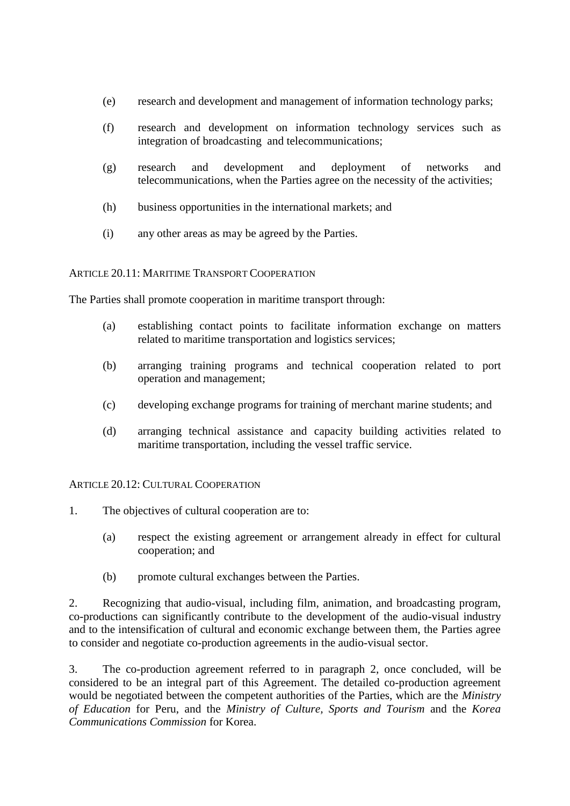- (e) research and development and management of information technology parks;
- (f) research and development on information technology services such as integration of broadcasting and telecommunications;
- (g) research and development and deployment of networks and telecommunications, when the Parties agree on the necessity of the activities;
- (h) business opportunities in the international markets; and
- (i) any other areas as may be agreed by the Parties.

# ARTICLE 20.11: MARITIME TRANSPORT COOPERATION

The Parties shall promote cooperation in maritime transport through:

- (a) establishing contact points to facilitate information exchange on matters related to maritime transportation and logistics services;
- (b) arranging training programs and technical cooperation related to port operation and management;
- (c) developing exchange programs for training of merchant marine students; and
- (d) arranging technical assistance and capacity building activities related to maritime transportation, including the vessel traffic service.

# ARTICLE 20.12: CULTURAL COOPERATION

- 1. The objectives of cultural cooperation are to:
	- (a) respect the existing agreement or arrangement already in effect for cultural cooperation; and
	- (b) promote cultural exchanges between the Parties.

2. Recognizing that audio-visual, including film, animation, and broadcasting program, co-productions can significantly contribute to the development of the audio-visual industry and to the intensification of cultural and economic exchange between them, the Parties agree to consider and negotiate co-production agreements in the audio-visual sector.

3. The co-production agreement referred to in paragraph 2, once concluded, will be considered to be an integral part of this Agreement. The detailed co-production agreement would be negotiated between the competent authorities of the Parties, which are the *Ministry of Education* for Peru, and the *Ministry of Culture, Sports and Tourism* and the *Korea Communications Commission* for Korea.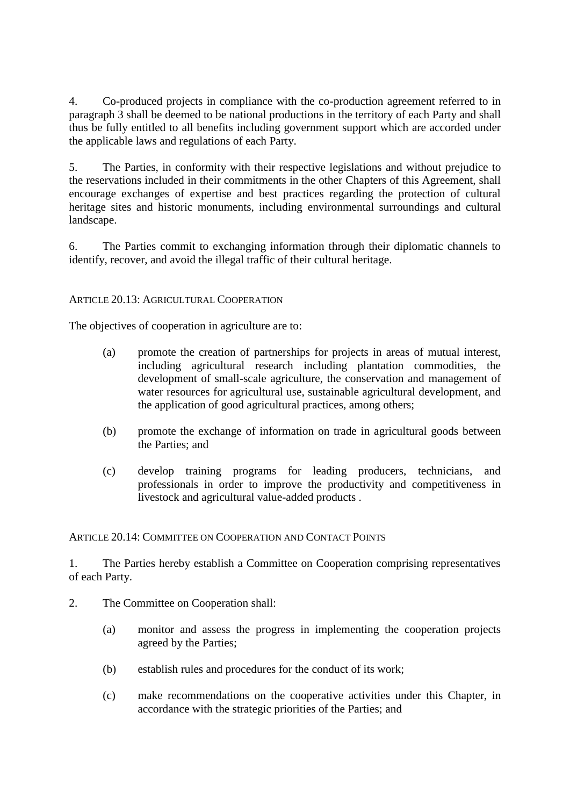4. Co-produced projects in compliance with the co-production agreement referred to in paragraph 3 shall be deemed to be national productions in the territory of each Party and shall thus be fully entitled to all benefits including government support which are accorded under the applicable laws and regulations of each Party.

5. The Parties, in conformity with their respective legislations and without prejudice to the reservations included in their commitments in the other Chapters of this Agreement, shall encourage exchanges of expertise and best practices regarding the protection of cultural heritage sites and historic monuments, including environmental surroundings and cultural landscape.

6. The Parties commit to exchanging information through their diplomatic channels to identify, recover, and avoid the illegal traffic of their cultural heritage.

# ARTICLE 20.13: AGRICULTURAL COOPERATION

The objectives of cooperation in agriculture are to:

- (a) promote the creation of partnerships for projects in areas of mutual interest, including agricultural research including plantation commodities, the development of small-scale agriculture, the conservation and management of water resources for agricultural use, sustainable agricultural development, and the application of good agricultural practices, among others;
- (b) promote the exchange of information on trade in agricultural goods between the Parties; and
- (c) develop training programs for leading producers, technicians, and professionals in order to improve the productivity and competitiveness in livestock and agricultural value-added products .

ARTICLE 20.14: COMMITTEE ON COOPERATION AND CONTACT POINTS

1. The Parties hereby establish a Committee on Cooperation comprising representatives of each Party.

- 2. The Committee on Cooperation shall:
	- (a) monitor and assess the progress in implementing the cooperation projects agreed by the Parties;
	- (b) establish rules and procedures for the conduct of its work;
	- (c) make recommendations on the cooperative activities under this Chapter, in accordance with the strategic priorities of the Parties; and